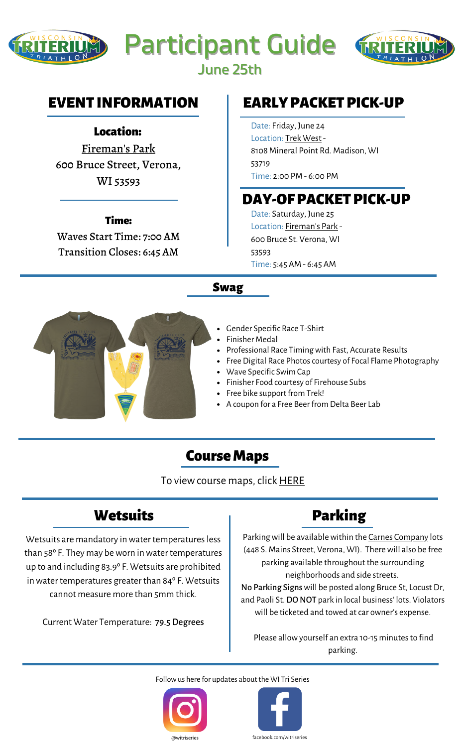





June 25th

### EVENT INFORMATION

#### Location:

[Fireman's](https://www.google.com/maps/place/Verona+Beach/@42.9801335,-89.5385712,16.75z/data=!4m12!1m6!3m5!1s0x0:0xfd5e193fec3180d0!2sVerona+Beach!8m2!3d42.9789933!4d-89.5383381!3m4!1s0x0:0xfd5e193fec3180d0!8m2!3d42.9789933!4d-89.5383381) Park 600 Bruce Street, Verona, WI 53593

#### Time:

Waves Start Time: 7:00 AM Transition Closes: 6:45 AM

# EARLY PACKET PICK-UP

Date: Friday, June 24 Location: Trek [West](https://www.google.com/maps/place/Trek+Bicycle+Madison+West/@43.060965,-89.5272192,17z/data=!3m1!4b1!4m5!3m4!1s0x8807af096ac2b5a3:0x3ba0a31d41d78d67!8m2!3d43.0609611!4d-89.5250305) - 8108 Mineral Point Rd. Madison, WI 53719 Time: 2:00 PM - 6:00 PM

## DAY-OF PACKET PICK-UP

Date: Saturday, June 25 Location: [Fireman's](https://www.google.com/maps/place/Verona+Beach/@42.9801335,-89.5385712,16.75z/data=!4m12!1m6!3m5!1s0x0:0xfd5e193fec3180d0!2sVerona+Beach!8m2!3d42.9789933!4d-89.5383381!3m4!1s0x0:0xfd5e193fec3180d0!8m2!3d42.9789933!4d-89.5383381) Park - 600 Bruce St. Verona, WI 53593 Time: 5:45 AM - 6:45 AM

#### Swag



- Gender Specific Race T-Shirt
- Finisher Medal
- Professional Race Timing with Fast, Accurate Results
- Free Digital Race Photos courtesy of Focal Flame Photography
- Wave Specific Swim Cap
- Finisher Food courtesy of Firehouse Subs
- Free bike support from Trek!
- A coupon for a Free Beer from Delta Beer Lab

### Course Maps

To view course maps, click **[HERE](http://wisconsintriterium.com/wp-content/uploads/sites/12/2022/06/22WTT_ALLMAPS-e1654179983459.png)** 

## **Wetsuits**

Wetsuits are mandatory in water temperatures less than 58° F. They may be worn in water temperatures up to and including 83.9º F. Wetsuits are prohibited in water temperatures greater than 84° F. Wetsuits cannot measure more than 5mm thick.

Current Water Temperature: 79.5Degrees

# Parking

Parking will be available within the Carnes [Company](http://wisconsintriterium.com/wp-content/uploads/sites/12/2022/06/CARNES-PARKING.pdf) lots (448 S. Mains Street, Verona, WI). Therewill also be free parking available throughout the surrounding neighborhoods and side streets. No Parking Signs will be posted along Bruce St, Locust Dr, and Paoli St. DO NOT park in local business' lots. Violators will be ticketed and towed at car owner's expense.

Please allow yourself an extra 10-15 minutes to find parking.

Followus here for updates about the WI Tri Series



facebook.com/witriseries